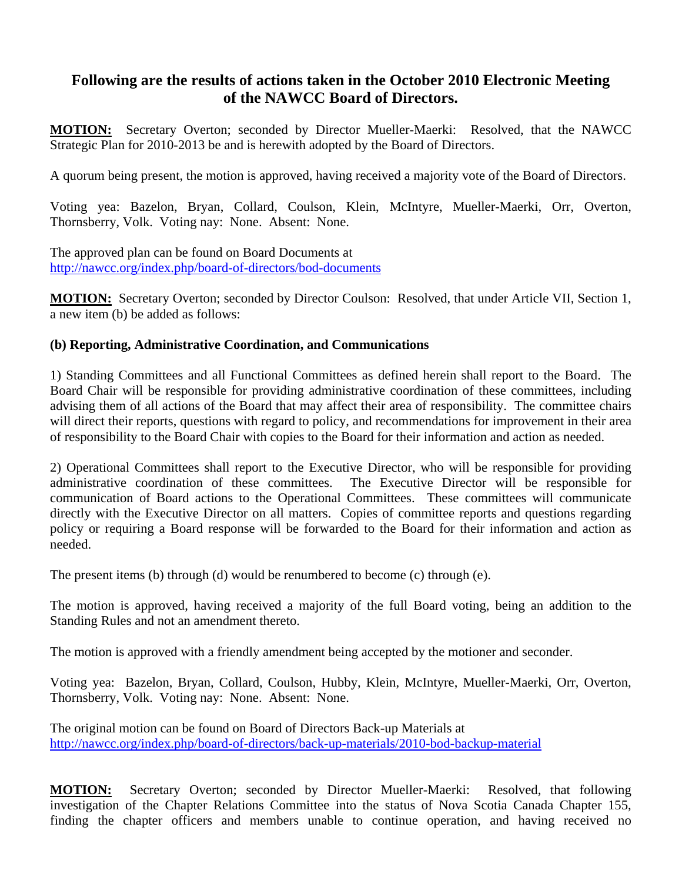## **Following are the results of actions taken in the October 2010 Electronic Meeting of the NAWCC Board of Directors.**

**MOTION:** Secretary Overton; seconded by Director Mueller-Maerki: Resolved, that the NAWCC Strategic Plan for 2010-2013 be and is herewith adopted by the Board of Directors.

A quorum being present, the motion is approved, having received a majority vote of the Board of Directors.

Voting yea: Bazelon, Bryan, Collard, Coulson, Klein, McIntyre, Mueller-Maerki, Orr, Overton, Thornsberry, Volk. Voting nay: None. Absent: None.

The approved plan can be found on Board Documents at <http://nawcc.org/index.php/board-of-directors/bod-documents>

**MOTION:** Secretary Overton; seconded by Director Coulson: Resolved, that under Article VII, Section 1, a new item (b) be added as follows:

## **(b) Reporting, Administrative Coordination, and Communications**

1) Standing Committees and all Functional Committees as defined herein shall report to the Board. The Board Chair will be responsible for providing administrative coordination of these committees, including advising them of all actions of the Board that may affect their area of responsibility. The committee chairs will direct their reports, questions with regard to policy, and recommendations for improvement in their area of responsibility to the Board Chair with copies to the Board for their information and action as needed.

2) Operational Committees shall report to the Executive Director, who will be responsible for providing administrative coordination of these committees. The Executive Director will be responsible for communication of Board actions to the Operational Committees. These committees will communicate directly with the Executive Director on all matters. Copies of committee reports and questions regarding policy or requiring a Board response will be forwarded to the Board for their information and action as needed.

The present items (b) through (d) would be renumbered to become (c) through (e).

The motion is approved, having received a majority of the full Board voting, being an addition to the Standing Rules and not an amendment thereto.

The motion is approved with a friendly amendment being accepted by the motioner and seconder.

Voting yea: Bazelon, Bryan, Collard, Coulson, Hubby, Klein, McIntyre, Mueller-Maerki, Orr, Overton, Thornsberry, Volk. Voting nay: None. Absent: None.

The original motion can be found on Board of Directors Back-up Materials at <http://nawcc.org/index.php/board-of-directors/back-up-materials/2010-bod-backup-material>

**MOTION:** Secretary Overton; seconded by Director Mueller-Maerki: Resolved, that following investigation of the Chapter Relations Committee into the status of Nova Scotia Canada Chapter 155, finding the chapter officers and members unable to continue operation, and having received no